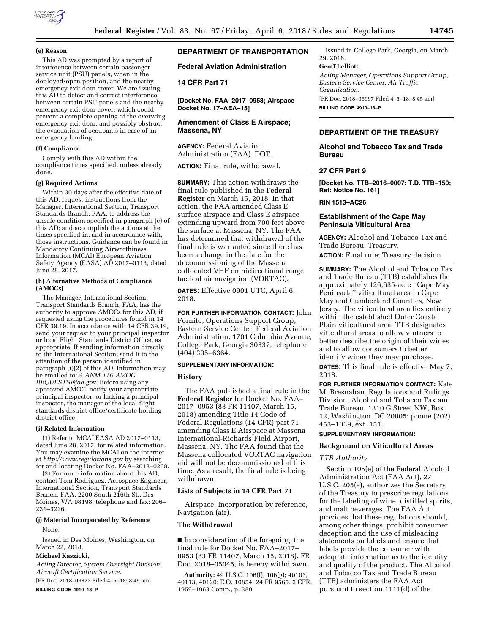

#### **(e) Reason**

This AD was prompted by a report of interference between certain passenger service unit (PSU) panels, when in the deployed/open position, and the nearby emergency exit door cover. We are issuing this AD to detect and correct interference between certain PSU panels and the nearby emergency exit door cover, which could prevent a complete opening of the overwing emergency exit door, and possibly obstruct the evacuation of occupants in case of an emergency landing.

## **(f) Compliance**

Comply with this AD within the compliance times specified, unless already done.

## **(g) Required Actions**

Within 30 days after the effective date of this AD, request instructions from the Manager, International Section, Transport Standards Branch, FAA, to address the unsafe condition specified in paragraph (e) of this AD; and accomplish the actions at the times specified in, and in accordance with, those instructions. Guidance can be found in Mandatory Continuing Airworthiness Information (MCAI) European Aviation Safety Agency (EASA) AD 2017–0113, dated June 28, 2017.

#### **(h) Alternative Methods of Compliance (AMOCs)**

The Manager, International Section, Transport Standards Branch, FAA, has the authority to approve AMOCs for this AD, if requested using the procedures found in 14 CFR 39.19. In accordance with 14 CFR 39.19, send your request to your principal inspector or local Flight Standards District Office, as appropriate. If sending information directly to the International Section, send it to the attention of the person identified in paragraph (i)(2) of this AD. Information may be emailed to: *[9-ANM-116-AMOC-](mailto:9-ANM-116-AMOC-REQUESTS@faa.gov)[REQUESTS@faa.gov.](mailto:9-ANM-116-AMOC-REQUESTS@faa.gov)* Before using any approved AMOC, notify your appropriate principal inspector, or lacking a principal inspector, the manager of the local flight standards district office/certificate holding district office.

#### **(i) Related Information**

(1) Refer to MCAI EASA AD 2017–0113, dated June 28, 2017, for related information. You may examine the MCAI on the internet at *<http://www.regulations.gov>*by searching for and locating Docket No. FAA–2018–0268.

(2) For more information about this AD, contact Tom Rodriguez, Aerospace Engineer, International Section, Transport Standards Branch, FAA, 2200 South 216th St., Des Moines, WA 98198; telephone and fax: 206– 231–3226.

### **(j) Material Incorporated by Reference**

None.

Issued in Des Moines, Washington, on March 22, 2018.

#### **Michael Kaszicki,**

*Acting Director, System Oversight Division, Aircraft Certification Service.* 

[FR Doc. 2018–06822 Filed 4–5–18; 8:45 am] **BILLING CODE 4910–13–P** 

# **DEPARTMENT OF TRANSPORTATION**

**Federal Aviation Administration** 

# **14 CFR Part 71**

**[Docket No. FAA–2017–0953; Airspace Docket No. 17–AEA–15]** 

# **Amendment of Class E Airspace; Massena, NY**

**AGENCY:** Federal Aviation Administration (FAA), DOT.

**ACTION:** Final rule, withdrawal.

**SUMMARY:** This action withdraws the final rule published in the **Federal Register** on March 15, 2018. In that action, the FAA amended Class E surface airspace and Class E airspace extending upward from 700 feet above the surface at Massena, NY. The FAA has determined that withdrawal of the final rule is warranted since there has been a change in the date for the decommissioning of the Massena collocated VHF omnidirectional range tactical air navigation (VORTAC).

**DATES:** Effective 0901 UTC, April 6, 2018.

**FOR FURTHER INFORMATION CONTACT:** John Fornito, Operations Support Group, Eastern Service Center, Federal Aviation Administration, 1701 Columbia Avenue, College Park, Georgia 30337; telephone (404) 305–6364.

#### **SUPPLEMENTARY INFORMATION:**

#### **History**

The FAA published a final rule in the **Federal Register** for Docket No. FAA– 2017–0953 (83 FR 11407, March 15, 2018) amending Title 14 Code of Federal Regulations (14 CFR) part 71 amending Class E Airspace at Massena International-Richards Field Airport, Massena, NY. The FAA found that the Massena collocated VORTAC navigation aid will not be decommissioned at this time. As a result, the final rule is being withdrawn.

#### **Lists of Subjects in 14 CFR Part 71**

Airspace, Incorporation by reference, Navigation (air).

## **The Withdrawal**

■ In consideration of the foregoing, the final rule for Docket No. FAA–2017– 0953 (83 FR 11407, March 15, 2018), FR Doc. 2018–05045, is hereby withdrawn.

**Authority:** 49 U.S.C. 106(f), 106(g); 40103, 40113, 40120; E.O. 10854, 24 FR 9565, 3 CFR, 1959–1963 Comp., p. 389.

Issued in College Park, Georgia, on March 29, 2018.

## **Geoff Lelliott,**

*Acting Manager, Operations Support Group, Eastern Service Center, Air Traffic Organization.*  [FR Doc. 2018–06997 Filed 4–5–18; 8:45 am]

**BILLING CODE 4910–13–P** 

### **DEPARTMENT OF THE TREASURY**

### **Alcohol and Tobacco Tax and Trade Bureau**

### **27 CFR Part 9**

**[Docket No. TTB–2016–0007; T.D. TTB–150; Ref: Notice No. 161]** 

## **RIN 1513–AC26**

## **Establishment of the Cape May Peninsula Viticultural Area**

**AGENCY:** Alcohol and Tobacco Tax and Trade Bureau, Treasury. **ACTION:** Final rule; Treasury decision.

**SUMMARY:** The Alcohol and Tobacco Tax and Trade Bureau (TTB) establishes the approximately 126,635-acre ''Cape May Peninsula'' viticultural area in Cape May and Cumberland Counties, New Jersey. The viticultural area lies entirely within the established Outer Coastal Plain viticultural area. TTB designates viticultural areas to allow vintners to better describe the origin of their wines and to allow consumers to better identify wines they may purchase.

**DATES:** This final rule is effective May 7, 2018.

**FOR FURTHER INFORMATION CONTACT:** Kate M. Bresnahan, Regulations and Rulings Division, Alcohol and Tobacco Tax and Trade Bureau, 1310 G Street NW, Box 12, Washington, DC 20005; phone (202) 453–1039, ext. 151.

## **SUPPLEMENTARY INFORMATION:**

## **Background on Viticultural Areas**

#### *TTB Authority*

Section 105(e) of the Federal Alcohol Administration Act (FAA Act), 27 U.S.C. 205(e), authorizes the Secretary of the Treasury to prescribe regulations for the labeling of wine, distilled spirits, and malt beverages. The FAA Act provides that these regulations should, among other things, prohibit consumer deception and the use of misleading statements on labels and ensure that labels provide the consumer with adequate information as to the identity and quality of the product. The Alcohol and Tobacco Tax and Trade Bureau (TTB) administers the FAA Act pursuant to section 1111(d) of the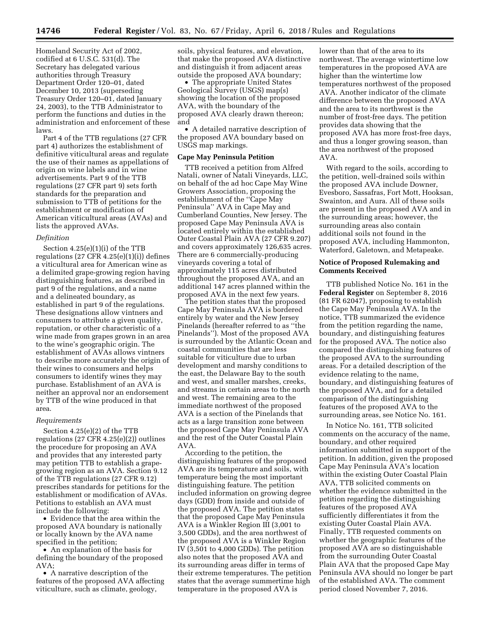Homeland Security Act of 2002, codified at 6 U.S.C. 531(d). The Secretary has delegated various authorities through Treasury Department Order 120–01, dated December 10, 2013 (superseding Treasury Order 120–01, dated January 24, 2003), to the TTB Administrator to perform the functions and duties in the administration and enforcement of these laws.

Part 4 of the TTB regulations (27 CFR part 4) authorizes the establishment of definitive viticultural areas and regulate the use of their names as appellations of origin on wine labels and in wine advertisements. Part 9 of the TTB regulations (27 CFR part 9) sets forth standards for the preparation and submission to TTB of petitions for the establishment or modification of American viticultural areas (AVAs) and lists the approved AVAs.

#### *Definition*

Section 4.25(e)(1)(i) of the TTB regulations (27 CFR 4.25(e)(1)(i)) defines a viticultural area for American wine as a delimited grape-growing region having distinguishing features, as described in part 9 of the regulations, and a name and a delineated boundary, as established in part 9 of the regulations. These designations allow vintners and consumers to attribute a given quality, reputation, or other characteristic of a wine made from grapes grown in an area to the wine's geographic origin. The establishment of AVAs allows vintners to describe more accurately the origin of their wines to consumers and helps consumers to identify wines they may purchase. Establishment of an AVA is neither an approval nor an endorsement by TTB of the wine produced in that area.

#### *Requirements*

Section 4.25(e)(2) of the TTB regulations (27 CFR 4.25(e)(2)) outlines the procedure for proposing an AVA and provides that any interested party may petition TTB to establish a grapegrowing region as an AVA. Section 9.12 of the TTB regulations (27 CFR 9.12) prescribes standards for petitions for the establishment or modification of AVAs. Petitions to establish an AVA must include the following:

• Evidence that the area within the proposed AVA boundary is nationally or locally known by the AVA name specified in the petition;

• An explanation of the basis for defining the boundary of the proposed AVA;

• A narrative description of the features of the proposed AVA affecting viticulture, such as climate, geology,

soils, physical features, and elevation, that make the proposed AVA distinctive and distinguish it from adjacent areas outside the proposed AVA boundary;

• The appropriate United States Geological Survey (USGS) map(s) showing the location of the proposed AVA, with the boundary of the proposed AVA clearly drawn thereon; and

• A detailed narrative description of the proposed AVA boundary based on USGS map markings.

### **Cape May Peninsula Petition**

TTB received a petition from Alfred Natali, owner of Natali Vineyards, LLC, on behalf of the ad hoc Cape May Wine Growers Association, proposing the establishment of the ''Cape May Peninsula'' AVA in Cape May and Cumberland Counties, New Jersey. The proposed Cape May Peninsula AVA is located entirely within the established Outer Coastal Plain AVA (27 CFR 9.207) and covers approximately 126,635 acres. There are 6 commercially-producing vineyards covering a total of approximately 115 acres distributed throughout the proposed AVA, and an additional 147 acres planned within the proposed AVA in the next few years.

The petition states that the proposed Cape May Peninsula AVA is bordered entirely by water and the New Jersey Pinelands (hereafter referred to as ''the Pinelands''). Most of the proposed AVA is surrounded by the Atlantic Ocean and coastal communities that are less suitable for viticulture due to urban development and marshy conditions to the east, the Delaware Bay to the south and west, and smaller marshes, creeks, and streams in certain areas to the north and west. The remaining area to the immediate northwest of the proposed AVA is a section of the Pinelands that acts as a large transition zone between the proposed Cape May Peninsula AVA and the rest of the Outer Coastal Plain AVA.

According to the petition, the distinguishing features of the proposed AVA are its temperature and soils, with temperature being the most important distinguishing feature. The petition included information on growing degree days (GDD) from inside and outside of the proposed AVA. The petition states that the proposed Cape May Peninsula AVA is a Winkler Region III (3,001 to 3,500 GDDs), and the area northwest of the proposed AVA is a Winkler Region IV (3,501 to 4,000 GDDs). The petition also notes that the proposed AVA and its surrounding areas differ in terms of their extreme temperatures. The petition states that the average summertime high temperature in the proposed AVA is

lower than that of the area to its northwest. The average wintertime low temperatures in the proposed AVA are higher than the wintertime low temperatures northwest of the proposed AVA. Another indicator of the climate difference between the proposed AVA and the area to its northwest is the number of frost-free days. The petition provides data showing that the proposed AVA has more frost-free days, and thus a longer growing season, than the area northwest of the proposed AVA.

With regard to the soils, according to the petition, well-drained soils within the proposed AVA include Downer, Evesboro, Sassafras, Fort Mott, Hooksan, Swainton, and Aura. All of these soils are present in the proposed AVA and in the surrounding areas; however, the surrounding areas also contain additional soils not found in the proposed AVA, including Hammonton, Waterford, Galetown, and Metapeake.

## **Notice of Proposed Rulemaking and Comments Received**

TTB published Notice No. 161 in the **Federal Register** on September 8, 2016 (81 FR 62047), proposing to establish the Cape May Peninsula AVA. In the notice, TTB summarized the evidence from the petition regarding the name, boundary, and distinguishing features for the proposed AVA. The notice also compared the distinguishing features of the proposed AVA to the surrounding areas. For a detailed description of the evidence relating to the name, boundary, and distinguishing features of the proposed AVA, and for a detailed comparison of the distinguishing features of the proposed AVA to the surrounding areas, see Notice No. 161.

In Notice No. 161, TTB solicited comments on the accuracy of the name, boundary, and other required information submitted in support of the petition. In addition, given the proposed Cape May Peninsula AVA's location within the existing Outer Coastal Plain AVA, TTB solicited comments on whether the evidence submitted in the petition regarding the distinguishing features of the proposed AVA sufficiently differentiates it from the existing Outer Coastal Plain AVA. Finally, TTB requested comments on whether the geographic features of the proposed AVA are so distinguishable from the surrounding Outer Coastal Plain AVA that the proposed Cape May Peninsula AVA should no longer be part of the established AVA. The comment period closed November 7, 2016.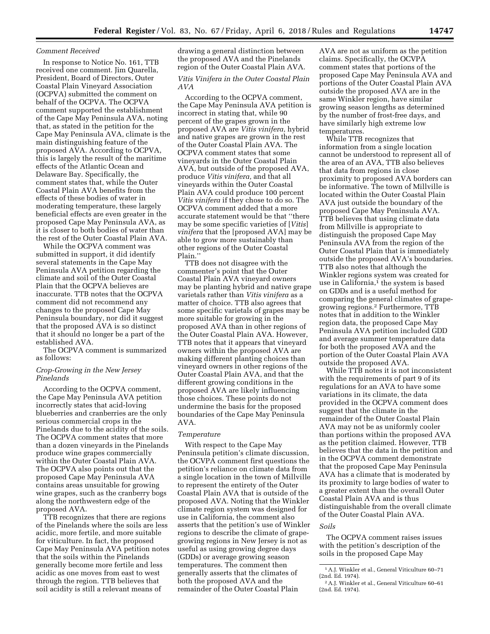#### *Comment Received*

In response to Notice No. 161, TTB received one comment. Jim Quarella, President, Board of Directors, Outer Coastal Plain Vineyard Association (OCPVA) submitted the comment on behalf of the OCPVA. The OCPVA comment supported the establishment of the Cape May Peninsula AVA, noting that, as stated in the petition for the Cape May Peninsula AVA, climate is the main distinguishing feature of the proposed AVA. According to OCPVA, this is largely the result of the maritime effects of the Atlantic Ocean and Delaware Bay. Specifically, the comment states that, while the Outer Coastal Plain AVA benefits from the effects of these bodies of water in moderating temperature, these largely beneficial effects are even greater in the proposed Cape May Peninsula AVA, as it is closer to both bodies of water than the rest of the Outer Coastal Plain AVA.

While the OCPVA comment was submitted in support, it did identify several statements in the Cape May Peninsula AVA petition regarding the climate and soil of the Outer Coastal Plain that the OCPVA believes are inaccurate. TTB notes that the OCPVA comment did not recommend any changes to the proposed Cape May Peninsula boundary, nor did it suggest that the proposed AVA is so distinct that it should no longer be a part of the established AVA.

The OCPVA comment is summarized as follows:

# *Crop-Growing in the New Jersey Pinelands*

According to the OCPVA comment, the Cape May Peninsula AVA petition incorrectly states that acid-loving blueberries and cranberries are the only serious commercial crops in the Pinelands due to the acidity of the soils. The OCPVA comment states that more than a dozen vineyards in the Pinelands produce wine grapes commercially within the Outer Coastal Plain AVA. The OCPVA also points out that the proposed Cape May Peninsula AVA contains areas unsuitable for growing wine grapes, such as the cranberry bogs along the northwestern edge of the proposed AVA.

TTB recognizes that there are regions of the Pinelands where the soils are less acidic, more fertile, and more suitable for viticulture. In fact, the proposed Cape May Peninsula AVA petition notes that the soils within the Pinelands generally become more fertile and less acidic as one moves from east to west through the region. TTB believes that soil acidity is still a relevant means of

drawing a general distinction between the proposed AVA and the Pinelands region of the Outer Coastal Plain AVA.

*Vitis Vinifera in the Outer Coastal Plain AVA* 

According to the OCPVA comment, the Cape May Peninsula AVA petition is incorrect in stating that, while 90 percent of the grapes grown in the proposed AVA are *Vitis vinifera,* hybrid and native grapes are grown in the rest of the Outer Coastal Plain AVA. The OCPVA comment states that some vineyards in the Outer Coastal Plain AVA, but outside of the proposed AVA, produce *Vitis vinifera,* and that all vineyards within the Outer Coastal Plain AVA could produce 100 percent *Vitis vinifera* if they chose to do so. The OCPVA comment added that a more accurate statement would be that ''there may be some specific varieties of [*Vitis*] *vinifera* that the [proposed AVA] may be able to grow more sustainably than other regions of the Outer Coastal Plain.''

TTB does not disagree with the commenter's point that the Outer Coastal Plain AVA vineyard owners may be planting hybrid and native grape varietals rather than *Vitis vinifera* as a matter of choice. TTB also agrees that some specific varietals of grapes may be more suitable for growing in the proposed AVA than in other regions of the Outer Coastal Plain AVA. However, TTB notes that it appears that vineyard owners within the proposed AVA are making different planting choices than vineyard owners in other regions of the Outer Coastal Plain AVA, and that the different growing conditions in the proposed AVA are likely influencing those choices. These points do not undermine the basis for the proposed boundaries of the Cape May Peninsula AVA.

#### *Temperature*

With respect to the Cape May Peninsula petition's climate discussion, the OCVPA comment first questions the petition's reliance on climate data from a single location in the town of Millville to represent the entirety of the Outer Coastal Plain AVA that is outside of the proposed AVA. Noting that the Winkler climate region system was designed for use in California, the comment also asserts that the petition's use of Winkler regions to describe the climate of grapegrowing regions in New Jersey is not as useful as using growing degree days (GDDs) or average growing season temperatures. The comment then generally asserts that the climates of both the proposed AVA and the remainder of the Outer Coastal Plain

AVA are not as uniform as the petition claims. Specifically, the OCVPA comment states that portions of the proposed Cape May Peninsula AVA and portions of the Outer Coastal Plain AVA outside the proposed AVA are in the same Winkler region, have similar growing season lengths as determined by the number of frost-free days, and have similarly high extreme low temperatures.

While TTB recognizes that information from a single location cannot be understood to represent all of the area of an AVA, TTB also believes that data from regions in close proximity to proposed AVA borders can be informative. The town of Millville is located within the Outer Coastal Plain AVA just outside the boundary of the proposed Cape May Peninsula AVA. TTB believes that using climate data from Millville is appropriate to distinguish the proposed Cape May Peninsula AVA from the region of the Outer Coastal Plain that is immediately outside the proposed AVA's boundaries. TTB also notes that although the Winkler regions system was created for use in California,<sup>1</sup> the system is based on GDDs and is a useful method for comparing the general climates of grapegrowing regions.2 Furthermore, TTB notes that in addition to the Winkler region data, the proposed Cape May Peninsula AVA petition included GDD and average summer temperature data for both the proposed AVA and the portion of the Outer Coastal Plain AVA outside the proposed AVA.

While TTB notes it is not inconsistent with the requirements of part 9 of its regulations for an AVA to have some variations in its climate, the data provided in the OCPVA comment does suggest that the climate in the remainder of the Outer Coastal Plain AVA may not be as uniformly cooler than portions within the proposed AVA as the petition claimed. However, TTB believes that the data in the petition and in the OCPVA comment demonstrate that the proposed Cape May Peninsula AVA has a climate that is moderated by its proximity to large bodies of water to a greater extent than the overall Outer Coastal Plain AVA and is thus distinguishable from the overall climate of the Outer Coastal Plain AVA.

## *Soils*

The OCPVA comment raises issues with the petition's description of the soils in the proposed Cape May

<sup>1</sup>A.J. Winkler et al., General Viticulture 60–71 (2nd. Ed. 1974).

<sup>2</sup>A.J. Winkler et al., General Viticulture 60–61 (2nd. Ed. 1974).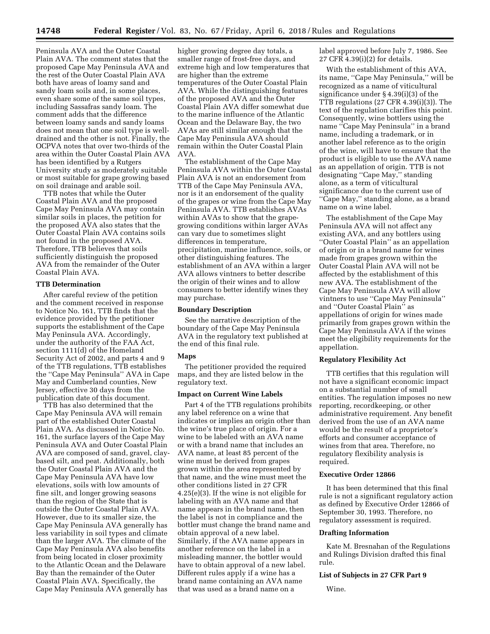Peninsula AVA and the Outer Coastal Plain AVA. The comment states that the proposed Cape May Peninsula AVA and the rest of the Outer Coastal Plain AVA both have areas of loamy sand and sandy loam soils and, in some places, even share some of the same soil types, including Sassafras sandy loam. The comment adds that the difference between loamy sands and sandy loams does not mean that one soil type is welldrained and the other is not. Finally, the OCPVA notes that over two-thirds of the area within the Outer Coastal Plain AVA has been identified by a Rutgers University study as moderately suitable or most suitable for grape growing based on soil drainage and arable soil.

TTB notes that while the Outer Coastal Plain AVA and the proposed Cape May Peninsula AVA may contain similar soils in places, the petition for the proposed AVA also states that the Outer Coastal Plain AVA contains soils not found in the proposed AVA. Therefore, TTB believes that soils sufficiently distinguish the proposed AVA from the remainder of the Outer Coastal Plain AVA.

### **TTB Determination**

After careful review of the petition and the comment received in response to Notice No. 161, TTB finds that the evidence provided by the petitioner supports the establishment of the Cape May Peninsula AVA. Accordingly, under the authority of the FAA Act, section 1111(d) of the Homeland Security Act of 2002, and parts 4 and 9 of the TTB regulations, TTB establishes the ''Cape May Peninsula'' AVA in Cape May and Cumberland counties, New Jersey, effective 30 days from the publication date of this document.

TTB has also determined that the Cape May Peninsula AVA will remain part of the established Outer Coastal Plain AVA. As discussed in Notice No. 161, the surface layers of the Cape May Peninsula AVA and Outer Coastal Plain AVA are composed of sand, gravel, claybased silt, and peat. Additionally, both the Outer Coastal Plain AVA and the Cape May Peninsula AVA have low elevations, soils with low amounts of fine silt, and longer growing seasons than the region of the State that is outside the Outer Coastal Plain AVA. However, due to its smaller size, the Cape May Peninsula AVA generally has less variability in soil types and climate than the larger AVA. The climate of the Cape May Peninsula AVA also benefits from being located in closer proximity to the Atlantic Ocean and the Delaware Bay than the remainder of the Outer Coastal Plain AVA. Specifically, the Cape May Peninsula AVA generally has

higher growing degree day totals, a smaller range of frost-free days, and extreme high and low temperatures that are higher than the extreme temperatures of the Outer Coastal Plain AVA. While the distinguishing features of the proposed AVA and the Outer Coastal Plain AVA differ somewhat due to the marine influence of the Atlantic Ocean and the Delaware Bay, the two AVAs are still similar enough that the Cape May Peninsula AVA should remain within the Outer Coastal Plain AVA.

The establishment of the Cape May Peninsula AVA within the Outer Coastal Plain AVA is not an endorsement from TTB of the Cape May Peninsula AVA, nor is it an endorsement of the quality of the grapes or wine from the Cape May Peninsula AVA. TTB establishes AVAs within AVAs to show that the grapegrowing conditions within larger AVAs can vary due to sometimes slight differences in temperature, precipitation, marine influence, soils, or other distinguishing features. The establishment of an AVA within a larger AVA allows vintners to better describe the origin of their wines and to allow consumers to better identify wines they may purchase.

#### **Boundary Description**

See the narrative description of the boundary of the Cape May Peninsula AVA in the regulatory text published at the end of this final rule.

#### **Maps**

The petitioner provided the required maps, and they are listed below in the regulatory text.

## **Impact on Current Wine Labels**

Part 4 of the TTB regulations prohibits any label reference on a wine that indicates or implies an origin other than the wine's true place of origin. For a wine to be labeled with an AVA name or with a brand name that includes an AVA name, at least 85 percent of the wine must be derived from grapes grown within the area represented by that name, and the wine must meet the other conditions listed in 27 CFR 4.25(e)(3). If the wine is not eligible for labeling with an AVA name and that name appears in the brand name, then the label is not in compliance and the bottler must change the brand name and obtain approval of a new label. Similarly, if the AVA name appears in another reference on the label in a misleading manner, the bottler would have to obtain approval of a new label. Different rules apply if a wine has a brand name containing an AVA name that was used as a brand name on a

label approved before July 7, 1986. See 27 CFR 4.39(i)(2) for details.

With the establishment of this AVA, its name, ''Cape May Peninsula,'' will be recognized as a name of viticultural significance under § 4.39(i)(3) of the TTB regulations (27 CFR 4.39(i)(3)). The text of the regulation clarifies this point. Consequently, wine bottlers using the name ''Cape May Peninsula'' in a brand name, including a trademark, or in another label reference as to the origin of the wine, will have to ensure that the product is eligible to use the AVA name as an appellation of origin. TTB is not designating ''Cape May,'' standing alone, as a term of viticultural significance due to the current use of ''Cape May,'' standing alone, as a brand name on a wine label.

The establishment of the Cape May Peninsula AVA will not affect any existing AVA, and any bottlers using ''Outer Coastal Plain'' as an appellation of origin or in a brand name for wines made from grapes grown within the Outer Coastal Plain AVA will not be affected by the establishment of this new AVA. The establishment of the Cape May Peninsula AVA will allow vintners to use ''Cape May Peninsula'' and ''Outer Coastal Plain'' as appellations of origin for wines made primarily from grapes grown within the Cape May Peninsula AVA if the wines meet the eligibility requirements for the appellation.

# **Regulatory Flexibility Act**

TTB certifies that this regulation will not have a significant economic impact on a substantial number of small entities. The regulation imposes no new reporting, recordkeeping, or other administrative requirement. Any benefit derived from the use of an AVA name would be the result of a proprietor's efforts and consumer acceptance of wines from that area. Therefore, no regulatory flexibility analysis is required.

# **Executive Order 12866**

It has been determined that this final rule is not a significant regulatory action as defined by Executive Order 12866 of September 30, 1993. Therefore, no regulatory assessment is required.

#### **Drafting Information**

Kate M. Bresnahan of the Regulations and Rulings Division drafted this final rule.

## **List of Subjects in 27 CFR Part 9**

Wine.